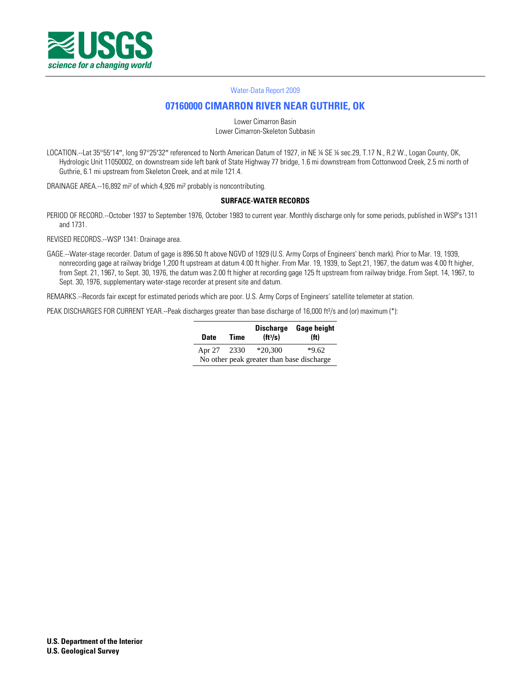

#### [Water-Data Report 2009](http://wdr.water.usgs.gov/)

# **[07160000 CIMARRON RIVER NEAR GUTHRIE, OK](http://waterdata.usgs.gov/nwis/nwisman/?site_no=07160000)**

Lower Cimarron Basin Lower Cimarron-Skeleton Subbasin

LOCATION.--Lat 35°55'14", long 97°25'32" referenced to North American Datum of 1927, in NE ¼ SE ¼ sec.29, T.17 N., R.2 W., Logan County, OK, Hydrologic Unit 11050002, on downstream side left bank of State Highway 77 bridge, 1.6 mi downstream from Cottonwood Creek, 2.5 mi north of Guthrie, 6.1 mi upstream from Skeleton Creek, and at mile 121.4.

DRAINAGE AREA.--16,892 mi² of which 4,926 mi² probably is noncontributing.

#### **SURFACE-WATER RECORDS**

PERIOD OF RECORD.--October 1937 to September 1976, October 1983 to current year. Monthly discharge only for some periods, published in WSP's 1311 and 1731.

REVISED RECORDS.--WSP 1341: Drainage area.

GAGE.--Water-stage recorder. Datum of gage is 896.50 ft above NGVD of 1929 (U.S. Army Corps of Engineers' bench mark). Prior to Mar. 19, 1939, nonrecording gage at railway bridge 1,200 ft upstream at datum 4.00 ft higher. From Mar. 19, 1939, to Sept.21, 1967, the datum was 4.00 ft higher, from Sept. 21, 1967, to Sept. 30, 1976, the datum was 2.00 ft higher at recording gage 125 ft upstream from railway bridge. From Sept. 14, 1967, to Sept. 30, 1976, supplementary water-stage recorder at present site and datum.

REMARKS.--Records fair except for estimated periods which are poor. U.S. Army Corps of Engineers' satellite telemeter at station.

PEAK DISCHARGES FOR CURRENT YEAR.--Peak discharges greater than base discharge of 16,000 ft<sup>3</sup>/s and (or) maximum (\*):

| Date                                      | <b>Time</b> | (H <sup>3</sup> /s) | Discharge Gage height<br>(f <sub>t</sub> ) |  |  |  |  |  |
|-------------------------------------------|-------------|---------------------|--------------------------------------------|--|--|--|--|--|
| Apr 27 2330                               |             | $*20.300$           | $*9.62$                                    |  |  |  |  |  |
| No other peak greater than base discharge |             |                     |                                            |  |  |  |  |  |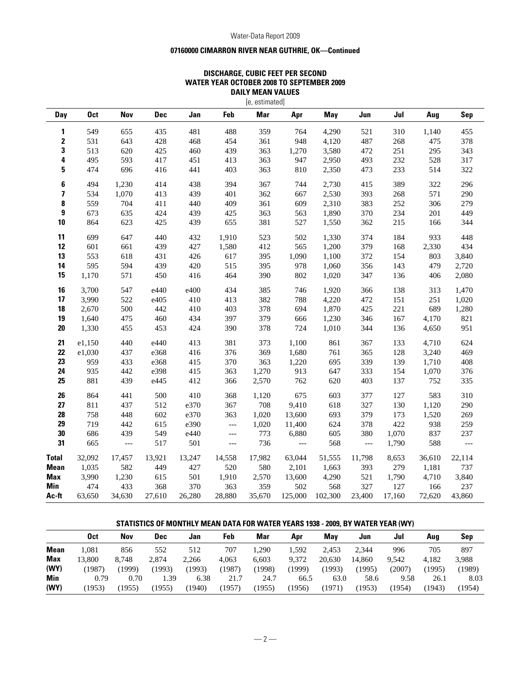#### Water-Data Report 2009

## **07160000 CIMARRON RIVER NEAR GUTHRIE, OK—Continued**

### **DISCHARGE, CUBIC FEET PER SECOND WATER YEAR OCTOBER 2008 TO SEPTEMBER 2009 DAILY MEAN VALUES**

| [e, estimated] |            |            |            |        |                          |            |         |         |        |        |        |        |
|----------------|------------|------------|------------|--------|--------------------------|------------|---------|---------|--------|--------|--------|--------|
| Day            | <b>Oct</b> | <b>Nov</b> | <b>Dec</b> | Jan    | Feb                      | <b>Mar</b> | Apr     | May     | Jun    | Jul    | Aug    | Sep    |
| 1              | 549        | 655        | 435        | 481    | 488                      | 359        | 764     | 4,290   | 521    | 310    | 1,140  | 455    |
| 2              | 531        | 643        | 428        | 468    | 454                      | 361        | 948     | 4,120   | 487    | 268    | 475    | 378    |
| 3              | 513        | 620        | 425        | 460    | 439                      | 363        | 1,270   | 3,580   | 472    | 251    | 295    | 343    |
| 4              | 495        | 593        | 417        | 451    | 413                      | 363        | 947     | 2,950   | 493    | 232    | 528    | 317    |
| 5              | 474        | 696        | 416        | 441    | 403                      | 363        | 810     | 2,350   | 473    | 233    | 514    | 322    |
| 6              | 494        | 1,230      | 414        | 438    | 394                      | 367        | 744     | 2,730   | 415    | 389    | 322    | 296    |
| 7              | 534        | 1,070      | 413        | 439    | 401                      | 362        | 667     | 2,530   | 393    | 268    | 571    | 290    |
| 8              | 559        | 704        | 411        | 440    | 409                      | 361        | 609     | 2,310   | 383    | 252    | 306    | 279    |
| 9              | 673        | 635        | 424        | 439    | 425                      | 363        | 563     | 1,890   | 370    | 234    | 201    | 449    |
| 10             | 864        | 623        | 425        | 439    | 655                      | 381        | 527     | 1,550   | 362    | 215    | 166    | 344    |
| 11             | 699        | 647        | 440        | 432    | 1,910                    | 523        | 502     | 1,330   | 374    | 184    | 933    | 448    |
| 12             | 601        | 661        | 439        | 427    | 1,580                    | 412        | 565     | 1,200   | 379    | 168    | 2,330  | 434    |
| 13             | 553        | 618        | 431        | 426    | 617                      | 395        | 1,090   | 1,100   | 372    | 154    | 803    | 3,840  |
| 14             | 595        | 594        | 439        | 420    | 515                      | 395        | 978     | 1,060   | 356    | 143    | 479    | 2,720  |
| 15             | 1,170      | 571        | 450        | 416    | 464                      | 390        | 802     | 1,020   | 347    | 136    | 406    | 2,080  |
| 16             | 3,700      | 547        | e440       | e400   | 434                      | 385        | 746     | 1,920   | 366    | 138    | 313    | 1,470  |
| 17             | 3,990      | 522        | e405       | 410    | 413                      | 382        | 788     | 4,220   | 472    | 151    | 251    | 1,020  |
| 18             | 2,670      | 500        | 442        | 410    | 403                      | 378        | 694     | 1,870   | 425    | 221    | 689    | 1,280  |
| 19             | 1,640      | 475        | 460        | 434    | 397                      | 379        | 666     | 1,230   | 346    | 167    | 4,170  | 821    |
| $20\,$         | 1,330      | 455        | 453        | 424    | 390                      | 378        | 724     | 1,010   | 344    | 136    | 4,650  | 951    |
| 21             | e1,150     | 440        | e440       | 413    | 381                      | 373        | 1,100   | 861     | 367    | 133    | 4,710  | 624    |
| 22             | e1,030     | 437        | e368       | 416    | 376                      | 369        | 1,680   | 761     | 365    | 128    | 3,240  | 469    |
| 23             | 959        | 433        | e368       | 415    | 370                      | 363        | 1,220   | 695     | 339    | 139    | 1,710  | 408    |
| 24             | 935        | 442        | e398       | 415    | 363                      | 1,270      | 913     | 647     | 333    | 154    | 1,070  | 376    |
| 25             | 881        | 439        | e445       | 412    | 366                      | 2,570      | 762     | 620     | 403    | 137    | 752    | 335    |
| 26             | 864        | 441        | 500        | 410    | 368                      | 1,120      | 675     | 603     | 377    | 127    | 583    | 310    |
| 27             | 811        | 437        | 512        | e370   | 367                      | 708        | 9,410   | 618     | 327    | 130    | 1,120  | 290    |
| 28             | 758        | 448        | 602        | e370   | 363                      | 1,020      | 13,600  | 693     | 379    | 173    | 1,520  | 269    |
| 29             | 719        | 442        | 615        | e390   | $\overline{\phantom{a}}$ | 1,020      | 11,400  | 624     | 378    | 422    | 938    | 259    |
| 30             | 686        | 439        | 549        | e440   | $\qquad \qquad - -$      | 773        | 6,880   | 605     | 380    | 1,070  | 837    | 237    |
| 31             | 665        | $---$      | 517        | 501    | $---$                    | 736        | $---$   | 568     | $---$  | 1,790  | 588    | $---$  |
| <b>Total</b>   | 32,092     | 17,457     | 13,921     | 13,247 | 14,558                   | 17,982     | 63,044  | 51,555  | 11,798 | 8,653  | 36,610 | 22,114 |
| <b>Mean</b>    | 1,035      | 582        | 449        | 427    | 520                      | 580        | 2,101   | 1,663   | 393    | 279    | 1,181  | 737    |
| Max            | 3,990      | 1,230      | 615        | 501    | 1,910                    | 2,570      | 13,600  | 4,290   | 521    | 1,790  | 4,710  | 3,840  |
| Min            | 474        | 433        | 368        | 370    | 363                      | 359        | 502     | 568     | 327    | 127    | 166    | 237    |
| Ac-ft          | 63,650     | 34,630     | 27,610     | 26,280 | 28.880                   | 35,670     | 125,000 | 102,300 | 23,400 | 17,160 | 72.620 | 43,860 |

### **STATISTICS OF MONTHLY MEAN DATA FOR WATER YEARS 1938 - 2009, BY WATER YEAR (WY)**

|             | Oct    | Nov    | Dec    | Jan    | Feb    | Mar    | Apr    | Mav    | Jun    | Jul    | Aua    | Sep    |
|-------------|--------|--------|--------|--------|--------|--------|--------|--------|--------|--------|--------|--------|
| <b>Mean</b> | .081   | 856    | 552    | 512    | 707    | .290   | 1.592  | 2.453  | 2.344  | 996    | 705    | 897    |
| <b>Max</b>  | 13.800 | 8.748  | 2.874  | 2.266  | 4.063  | 6.603  | 9.372  | 20.630 | 14.860 | 9.542  | 4.182  | 3,988  |
| (WY)        | 1987   | 1999)  | (1993) | (1993) | (1987) | (1998) | (1999  | 1993)  | (1995  | (2007) | (1995) | (1989) |
| Min         | 0.79   | 0.70   | . 39   | 6.38   | 21.7   | 24.7   | 66.5   | 63.0   | 58.6   | 9.58   | 26.1   | 8.03   |
| (WY)        | (1953) | (1955) | 1955   | (1940  | (1957  | (1955) | (1956) | 1971)  | (1953) | (1954) | (1943) | (1954) |